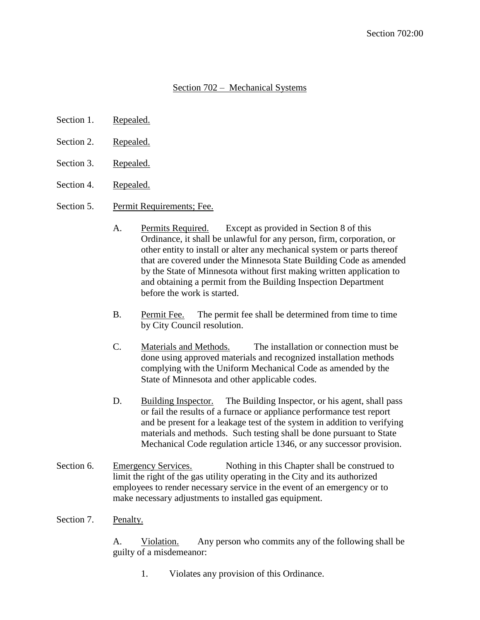## Section 702 – Mechanical Systems

- Section 1. Repealed.
- Section 2. Repealed.
- Section 3. Repealed.
- Section 4. Repealed.
- Section 5. Permit Requirements; Fee.
	- A. Permits Required. Except as provided in Section 8 of this Ordinance, it shall be unlawful for any person, firm, corporation, or other entity to install or alter any mechanical system or parts thereof that are covered under the Minnesota State Building Code as amended by the State of Minnesota without first making written application to and obtaining a permit from the Building Inspection Department before the work is started.
	- B. Permit Fee. The permit fee shall be determined from time to time by City Council resolution.
	- C. Materials and Methods. The installation or connection must be done using approved materials and recognized installation methods complying with the Uniform Mechanical Code as amended by the State of Minnesota and other applicable codes.
	- D. Building Inspector. The Building Inspector, or his agent, shall pass or fail the results of a furnace or appliance performance test report and be present for a leakage test of the system in addition to verifying materials and methods. Such testing shall be done pursuant to State Mechanical Code regulation article 1346, or any successor provision.
- Section 6. Emergency Services. Nothing in this Chapter shall be construed to limit the right of the gas utility operating in the City and its authorized employees to render necessary service in the event of an emergency or to make necessary adjustments to installed gas equipment.
- Section 7. Penalty.

A. Violation. Any person who commits any of the following shall be guilty of a misdemeanor:

1. Violates any provision of this Ordinance.